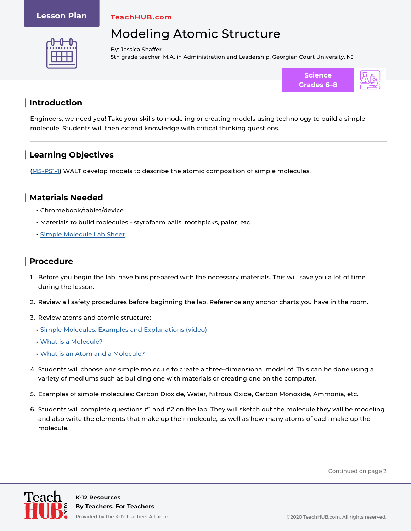#### **Lesson Plan**

**TeachHUB.com**

# Modeling Atomic Structure



By: Jessica Shaffer 5th grade teacher; M.A. in Administration and Leadership, Georgian Court University, NJ



### **| Introduction**

Engineers, we need you! Take your skills to modeling or creating models using technology to build a simple molecule. Students will then extend knowledge with critical thinking questions.

## **| Learning Objectives**

[\(MS-PS1-1\)](https://www.nextgenscience.org/pe/ms-ps1-1-matter-and-its-interactions) WALT develop models to describe the atomic composition of simple molecules.

#### **| Materials Needed**

- Chromebook/tablet/device
- Materials to build molecules styrofoam balls, toothpicks, paint, etc.
- [Simple Molecule Lab Sheet](https://www.teachhub.com/wp-content/uploads/2020/10/Simple-Molecule-Lab-Sheet.pdf)

### **| Procedure**

- 1. Before you begin the lab, have bins prepared with the necessary materials. This will save you a lot of time during the lesson.
- 2. Review all safety procedures before beginning the lab. Reference any anchor charts you have in the room.
- 3. Review atoms and atomic structure:
	- [Simple Molecules: Examples and Explanations \(video\)](https://study.com/academy/lesson/simple-molecules-examples-lesson-quiz.html)
	- [What is a Molecule?](https://www.worldofmolecules.com/what-is-a-molecule.html)
	- [What is an Atom and a Molecule?](https://www.youtube.com/watch?v=hc0EtPPpZUU)
- 4. Students will choose one simple molecule to create a three-dimensional model of. This can be done using a variety of mediums such as building one with materials or creating one on the computer.
- 5. Examples of simple molecules: Carbon Dioxide, Water, Nitrous Oxide, Carbon Monoxide, Ammonia, etc.
- 6. Students will complete questions #1 and #2 on the lab. They will sketch out the molecule they will be modeling and also write the elements that make up their molecule, as well as how many atoms of each make up the molecule.

Continued on page 2